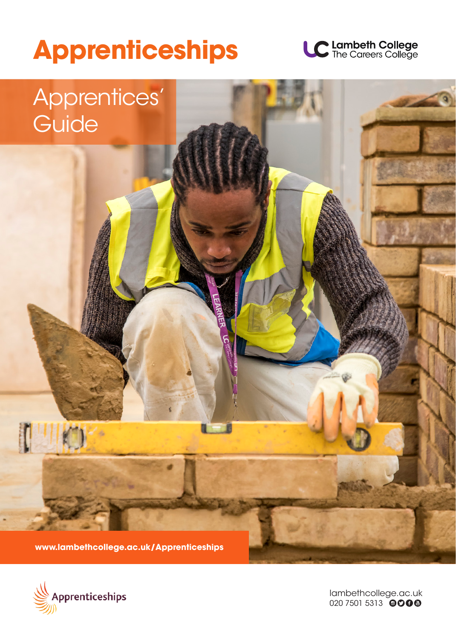# **Apprenticeships**







lambethcollege.ac.uk 020 7501 5313 0000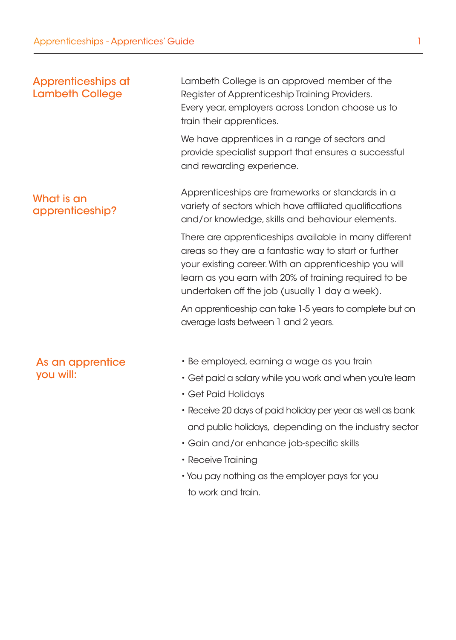## Apprenticeships at Lambeth College

What is an

apprenticeship?

Lambeth College is an approved member of the Register of Apprenticeship Training Providers. Every year, employers across London choose us to train their apprentices.

We have apprentices in a range of sectors and provide specialist support that ensures a successful and rewarding experience.

Apprenticeships are frameworks or standards in a variety of sectors which have affiliated qualifications and/or knowledge, skills and behaviour elements.

There are apprenticeships available in many different areas so they are a fantastic way to start or further your existing career. With an apprenticeship you will learn as you earn with 20% of training required to be undertaken off the job (usually 1 day a week).

An apprenticeship can take 1-5 years to complete but on average lasts between 1 and 2 years.

- As an apprentice you will:
- Be employed, earning a wage as you train
	- Get paid a salary while you work and when you're learn
	- Get Paid Holidays
	- Receive 20 days of paid holiday per year as well as bank and public holidays, depending on the industry sector
	- Gain and/or enhance job-specific skills
	- Receive Training
	- You pay nothing as the employer pays for you to work and train.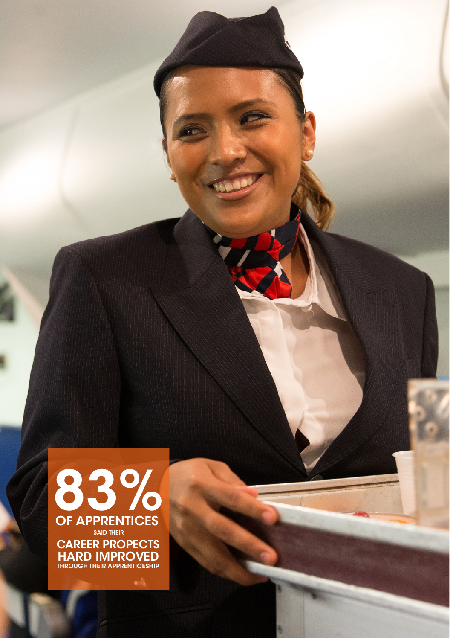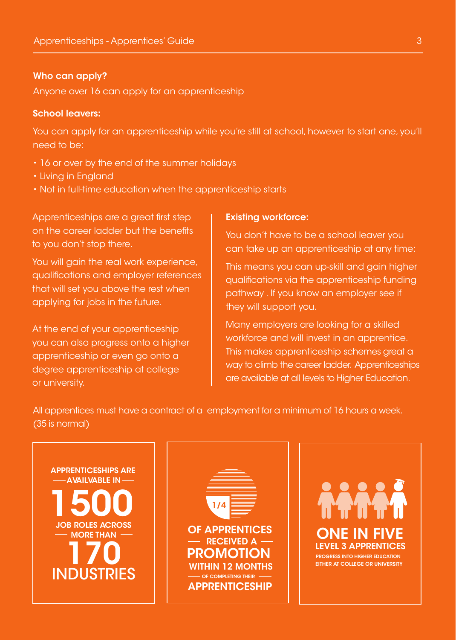#### Who can apply?

Anyone over 16 can apply for an apprenticeship

#### School leavers:

You can apply for an apprenticeship while you're still at school, however to start one, you'll need to be:

- 16 or over by the end of the summer holidays
- Living in England
- Not in full-time education when the apprenticeship starts

Apprenticeships are a great first step on the career ladder but the benefits to you don't stop there.

You will gain the real work experience, qualifications and employer references that will set you above the rest when applying for jobs in the future.

At the end of your apprenticeship you can also progress onto a higher apprenticeship or even go onto a degree apprenticeship at college or university.

#### Existing workforce:

You don't have to be a school leaver you can take up an apprenticeship at any time:

This means you can up-skill and gain higher qualifications via the apprenticeship funding pathway . If you know an employer see if they will support you.

Many employers are looking for a skilled workforce and will invest in an apprentice. This makes apprenticeship schemes great a way to climb the career ladder. Apprenticeships are available at all levels to Higher Education.

All apprentices must have a contract of a employment for a minimum of 16 hours a week. (35 is normal)





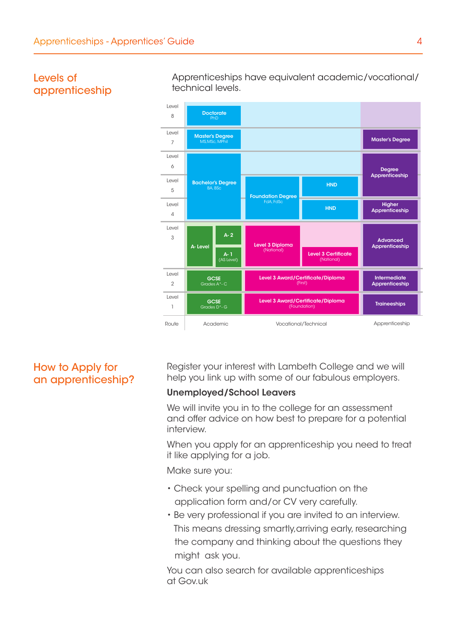

## Levels of apprenticeship

Apprenticeships have equivalent academic/vocational/ technical levels.

## How to Apply for an apprenticeship?

Register your interest with Lambeth College and we will help you link up with some of our fabulous employers.

#### Unemployed/School Leavers

We will invite you in to the college for an assessment and offer advice on how best to prepare for a potential interview.

When you apply for an apprenticeship you need to treat it like applying for a job.

Make sure you:

- Check your spelling and punctuation on the application form and/or CV very carefully.
- Be very professional if you are invited to an interview. This means dressing smartly,arriving early, researching the company and thinking about the questions they might ask you.

You can also search for available apprenticeships at Gov.uk